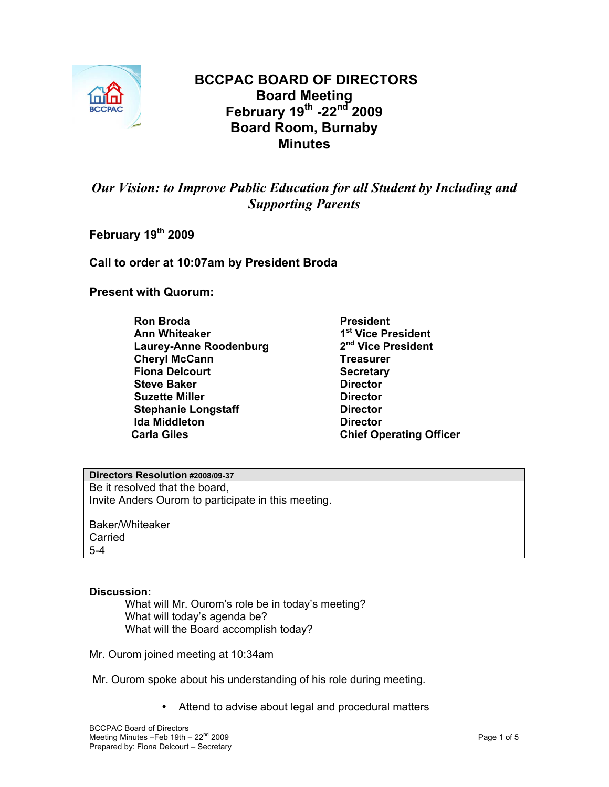

# **BCCPAC BOARD OF DIRECTORS Board Meeting February 19th -22nd 2009 Board Room, Burnaby Minutes**

# *Our Vision: to Improve Public Education for all Student by Including and Supporting Parents*

**February 19th 2009** 

**Call to order at 10:07am by President Broda** 

**Present with Quorum:** 

**Ron Broda President Ann Whiteaker 1st Vice President Laurey-Anne Roodenburg Cheryl McCann** Treasurer **Fiona Delcourt Secretary Steve Baker Director Contracts Suzette Miller Contract Director Director Stephanie Longstaff Director Congress Ida Middleton**<br> **Carla Giles** Carla Chief Operation

**Chief Operating Officer** 

**Directors Resolution #2008/09-37** Be it resolved that the board, Invite Anders Ourom to participate in this meeting.

Baker/Whiteaker **Carried** 5-4

### **Discussion:**

What will Mr. Ourom's role be in today's meeting? What will today's agenda be? What will the Board accomplish today?

Mr. Ourom joined meeting at 10:34am

- Mr. Ourom spoke about his understanding of his role during meeting.
	- Attend to advise about legal and procedural matters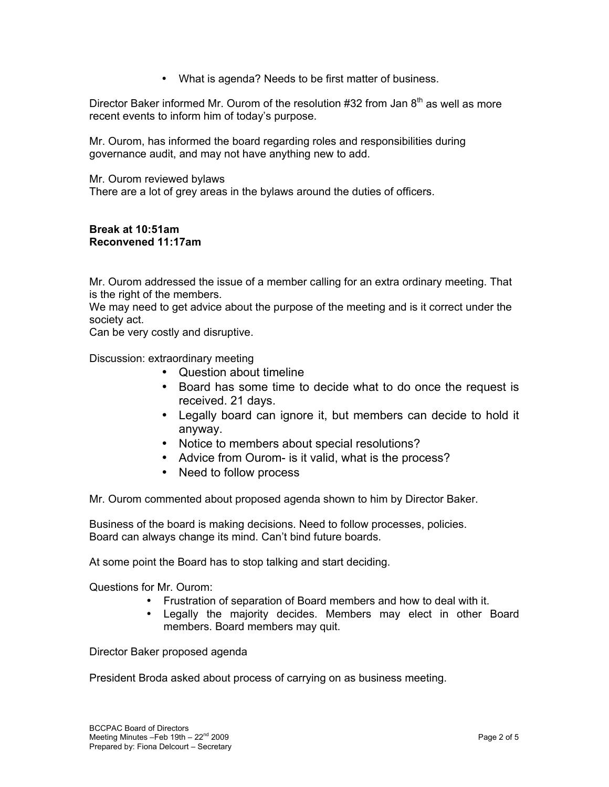• What is agenda? Needs to be first matter of business.

Director Baker informed Mr. Ourom of the resolution #32 from Jan  $8<sup>th</sup>$  as well as more recent events to inform him of today's purpose.

Mr. Ourom, has informed the board regarding roles and responsibilities during governance audit, and may not have anything new to add.

Mr. Ourom reviewed bylaws

There are a lot of grey areas in the bylaws around the duties of officers.

#### **Break at 10:51am Reconvened 11:17am**

Mr. Ourom addressed the issue of a member calling for an extra ordinary meeting. That is the right of the members.

We may need to get advice about the purpose of the meeting and is it correct under the society act.

Can be very costly and disruptive.

Discussion: extraordinary meeting

- Question about timeline
- Board has some time to decide what to do once the request is received. 21 days.
- Legally board can ignore it, but members can decide to hold it anyway.
- Notice to members about special resolutions?
- Advice from Ourom- is it valid, what is the process?
- Need to follow process

Mr. Ourom commented about proposed agenda shown to him by Director Baker.

Business of the board is making decisions. Need to follow processes, policies. Board can always change its mind. Can't bind future boards.

At some point the Board has to stop talking and start deciding.

Questions for Mr. Ourom:

- Frustration of separation of Board members and how to deal with it.
- Legally the majority decides. Members may elect in other Board members. Board members may quit.

Director Baker proposed agenda

President Broda asked about process of carrying on as business meeting.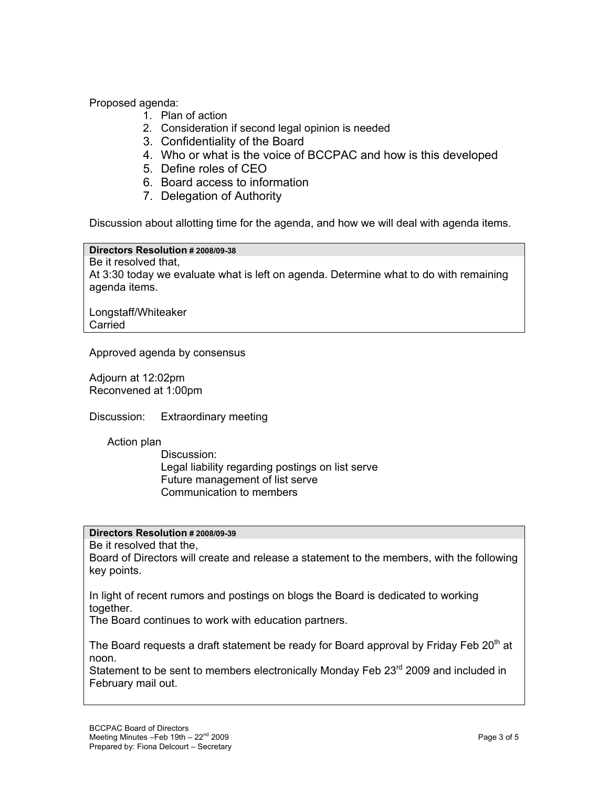Proposed agenda:

- 1. Plan of action
- 2. Consideration if second legal opinion is needed
- 3. Confidentiality of the Board
- 4. Who or what is the voice of BCCPAC and how is this developed
- 5. Define roles of CEO
- 6. Board access to information
- 7. Delegation of Authority

Discussion about allotting time for the agenda, and how we will deal with agenda items.

**Directors Resolution # 2008/09-38**

Be it resolved that, At 3:30 today we evaluate what is left on agenda. Determine what to do with remaining agenda items.

Longstaff/Whiteaker **Carried** 

Approved agenda by consensus

Adjourn at 12:02pm Reconvened at 1:00pm

Discussion: Extraordinary meeting

Action plan

Discussion: Legal liability regarding postings on list serve Future management of list serve Communication to members

# **Directors Resolution # 2008/09-39**

Be it resolved that the,

Board of Directors will create and release a statement to the members, with the following key points.

In light of recent rumors and postings on blogs the Board is dedicated to working together.

The Board continues to work with education partners.

The Board requests a draft statement be ready for Board approval by Friday Feb 20<sup>th</sup> at noon.

Statement to be sent to members electronically Monday Feb 23<sup>rd</sup> 2009 and included in February mail out.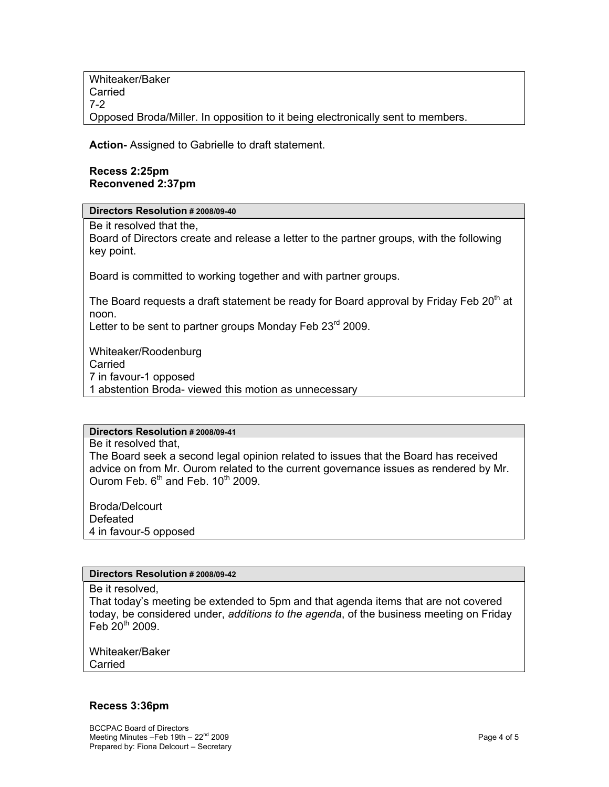Whiteaker/Baker **Carried** 7-2 Opposed Broda/Miller. In opposition to it being electronically sent to members.

**Action-** Assigned to Gabrielle to draft statement.

## **Recess 2:25pm Reconvened 2:37pm**

**Directors Resolution # 2008/09-40**

Be it resolved that the,

Board of Directors create and release a letter to the partner groups, with the following key point.

Board is committed to working together and with partner groups.

The Board requests a draft statement be ready for Board approval by Friday Feb 20<sup>th</sup> at noon.

Letter to be sent to partner groups Monday Feb  $23<sup>rd</sup>$  2009.

Whiteaker/Roodenburg Carried 7 in favour-1 opposed 1 abstention Broda- viewed this motion as unnecessary

# **Directors Resolution # 2008/09-41**

Be it resolved that, The Board seek a second legal opinion related to issues that the Board has received advice on from Mr. Ourom related to the current governance issues as rendered by Mr. Ourom Feb.  $6<sup>th</sup>$  and Feb.  $10<sup>th</sup>$  2009.

Broda/Delcourt Defeated 4 in favour-5 opposed

### **Directors Resolution # 2008/09-42**

Be it resolved,

That today's meeting be extended to 5pm and that agenda items that are not covered today, be considered under, *additions to the agenda*, of the business meeting on Friday Feb  $20^{th}$  2009.

Whiteaker/Baker Carried

### **Recess 3:36pm**